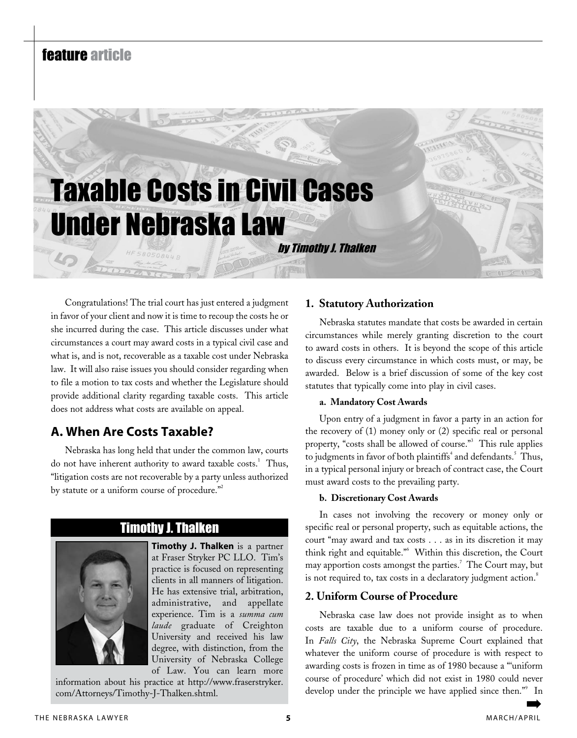# feature article Taxable Costs in Civil Cases Under Nebraska Law by Timothy J. Thalken

Congratulations! The trial court has just entered a judgment in favor of your client and now it is time to recoup the costs he or she incurred during the case. This article discusses under what circumstances a court may award costs in a typical civil case and what is, and is not, recoverable as a taxable cost under Nebraska law. It will also raise issues you should consider regarding when to file a motion to tax costs and whether the Legislature should provide additional clarity regarding taxable costs. This article does not address what costs are available on appeal.

# **A. When Are Costs Taxable?**

Nebraska has long held that under the common law, courts do not have inherent authority to award taxable costs.<sup>1</sup> Thus, "litigation costs are not recoverable by a party unless authorized by statute or a uniform course of procedure."<sup>2</sup>

# Timothy J. Thalken

**Timothy J. Thalken** is a partner at Fraser Stryker PC LLO. Tim's practice is focused on representing clients in all manners of litigation. He has extensive trial, arbitration, administrative, and appellate experience. Tim is a *summa cum laude* graduate of Creighton University and received his law degree, with distinction, from the University of Nebraska College of Law. You can learn more

information about his practice at http://www.fraserstryker. com/Attorneys/Timothy-J-Thalken.shtml.

## **1. Statutory Authorization**

Nebraska statutes mandate that costs be awarded in certain circumstances while merely granting discretion to the court to award costs in others. It is beyond the scope of this article to discuss every circumstance in which costs must, or may, be awarded. Below is a brief discussion of some of the key cost statutes that typically come into play in civil cases.

#### **a. Mandatory Cost Awards**

Upon entry of a judgment in favor a party in an action for the recovery of (1) money only or (2) specific real or personal property, "costs shall be allowed of course."<sup>3</sup> This rule applies to judgments in favor of both plaintiffs<sup>4</sup> and defendants.<sup>5</sup> Thus, in a typical personal injury or breach of contract case, the Court must award costs to the prevailing party.

#### **b. Discretionary Cost Awards**

In cases not involving the recovery or money only or specific real or personal property, such as equitable actions, the court "may award and tax costs . . . as in its discretion it may think right and equitable."6 Within this discretion, the Court may apportion costs amongst the parties.<sup>7</sup> The Court may, but is not required to, tax costs in a declaratory judgment action.<sup>8</sup>

#### **2. Uniform Course of Procedure**

Nebraska case law does not provide insight as to when costs are taxable due to a uniform course of procedure. In *Falls City*, the Nebraska Supreme Court explained that whatever the uniform course of procedure is with respect to awarding costs is frozen in time as of 1980 because a "'uniform course of procedure' which did not exist in 1980 could never develop under the principle we have applied since then."<sup>9</sup> In ➡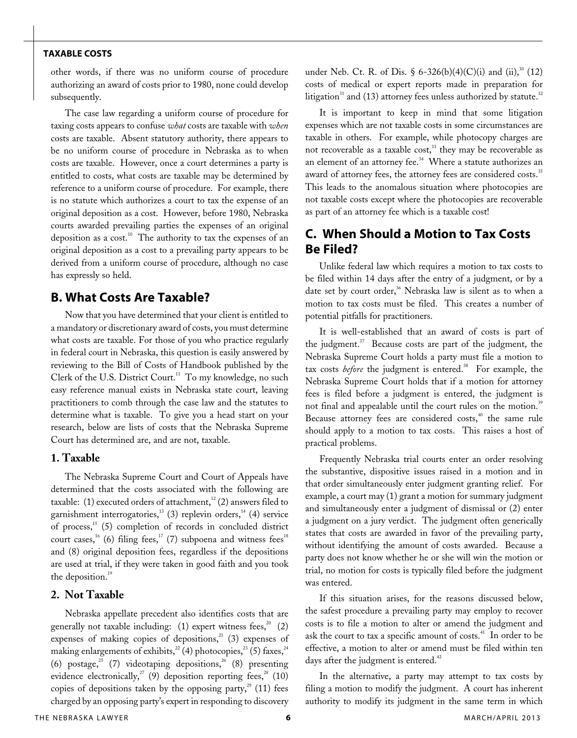other words, if there was no uniform course of procedure authorizing an award of costs prior to 1980, none could develop subsequently.

The case law regarding a uniform course of procedure for taxing costs appears to confuse *what* costs are taxable with *when* costs are taxable. Absent statutory authority, there appears to be no uniform course of procedure in Nebraska as to when costs are taxable. However, once a court determines a party is entitled to costs, what costs are taxable may be determined by reference to a uniform course of procedure. For example, there is no statute which authorizes a court to tax the expense of an original deposition as a cost. However, before 1980, Nebraska courts awarded prevailing parties the expenses of an original deposition as a  $cost<sup>10</sup>$ . The authority to tax the expenses of an original deposition as a cost to a prevailing party appears to be derived from a uniform course of procedure, although no case has expressly so held.

#### **B. What Costs Are Taxable?**

Now that you have determined that your client is entitled to a mandatory or discretionary award of costs, you must determine what costs are taxable. For those of you who practice regularly in federal court in Nebraska, this question is easily answered by reviewing to the Bill of Costs of Handbook published by the Clerk of the U.S. District Court.<sup>11</sup> To my knowledge, no such easy reference manual exists in Nebraska state court, leaving practitioners to comb through the case law and the statutes to determine what is taxable. To give you a head start on your research, below are lists of costs that the Nebraska Supreme Court has determined are, and are not, taxable.

#### **1. Taxable**

The Nebraska Supreme Court and Court of Appeals have determined that the costs associated with the following are taxable: (1) executed orders of attachment,<sup>12</sup> (2) answers filed to garnishment interrogatories,<sup>13</sup> (3) replevin orders,<sup>14</sup> (4) service of process,<sup>15</sup> (5) completion of records in concluded district court cases,<sup>16</sup> (6) filing fees,<sup>17</sup> (7) subpoena and witness fees<sup>18</sup> and (8) original deposition fees, regardless if the depositions are used at trial, if they were taken in good faith and you took the deposition.<sup>19</sup>

#### **2. Not Taxable**

Nebraska appellate precedent also identifies costs that are generally not taxable including:  $(1)$  expert witness fees,<sup>20</sup>  $(2)$ expenses of making copies of depositions, $^{21}$  (3) expenses of making enlargements of exhibits,<sup>22</sup> (4) photocopies,<sup>23</sup> (5) faxes,<sup>24</sup> (6) postage,<sup>25</sup> (7) videotaping depositions,<sup>26</sup> (8) presenting evidence electronically,<sup>27</sup> (9) deposition reporting fees,<sup>28</sup> (10) copies of depositions taken by the opposing party,<sup>29</sup> (11) fees charged by an opposing party's expert in responding to discovery

under Neb. Ct. R. of Dis. § 6-326(b)(4)(C)(i) and (ii),<sup>30</sup> (12) costs of medical or expert reports made in preparation for litigation<sup>31</sup> and (13) attorney fees unless authorized by statute.<sup>32</sup>

It is important to keep in mind that some litigation expenses which are not taxable costs in some circumstances are taxable in others. For example, while photocopy charges are not recoverable as a taxable cost, $33$  they may be recoverable as an element of an attorney fee.<sup>34</sup> Where a statute authorizes an award of attorney fees, the attorney fees are considered costs.<sup>35</sup> This leads to the anomalous situation where photocopies are not taxable costs except where the photocopies are recoverable as part of an attorney fee which is a taxable cost!

### **C. When Should a Motion to Tax Costs Be Filed?**

Unlike federal law which requires a motion to tax costs to be filed within 14 days after the entry of a judgment, or by a date set by court order,<sup>36</sup> Nebraska law is silent as to when a motion to tax costs must be filed. This creates a number of potential pitfalls for practitioners.

It is well-established that an award of costs is part of the judgment. $37$  Because costs are part of the judgment, the Nebraska Supreme Court holds a party must file a motion to tax costs *before* the judgment is entered.<sup>38</sup> For example, the Nebraska Supreme Court holds that if a motion for attorney fees is filed before a judgment is entered, the judgment is not final and appealable until the court rules on the motion.<sup>39</sup> Because attorney fees are considered costs,<sup>40</sup> the same rule should apply to a motion to tax costs. This raises a host of practical problems.

Frequently Nebraska trial courts enter an order resolving the substantive, dispositive issues raised in a motion and in that order simultaneously enter judgment granting relief. For example, a court may (1) grant a motion for summary judgment and simultaneously enter a judgment of dismissal or (2) enter a judgment on a jury verdict. The judgment often generically states that costs are awarded in favor of the prevailing party, without identifying the amount of costs awarded. Because a party does not know whether he or she will win the motion or trial, no motion for costs is typically filed before the judgment was entered.

If this situation arises, for the reasons discussed below, the safest procedure a prevailing party may employ to recover costs is to file a motion to alter or amend the judgment and ask the court to tax a specific amount of costs.<sup>41</sup> In order to be effective, a motion to alter or amend must be filed within ten days after the judgment is entered. $42$ 

In the alternative, a party may attempt to tax costs by filing a motion to modify the judgment. A court has inherent authority to modify its judgment in the same term in which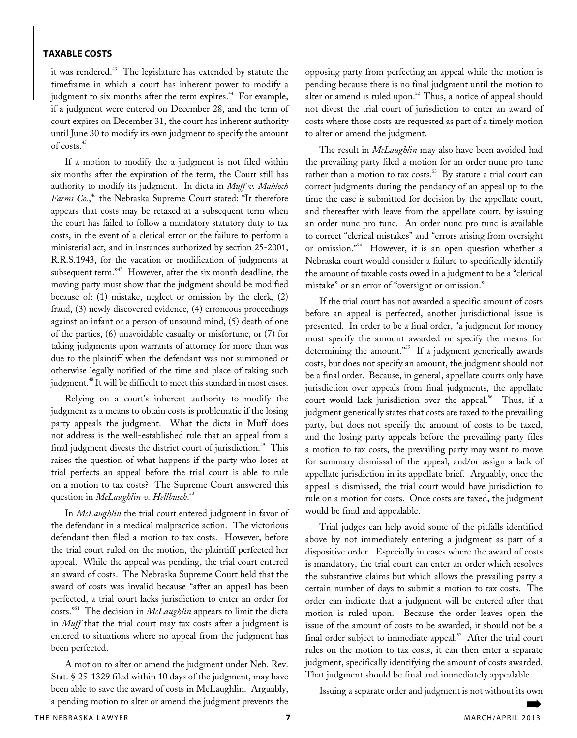it was rendered.<sup>43</sup> The legislature has extended by statute the timeframe in which a court has inherent power to modify a judgment to six months after the term expires.<sup>44</sup> For example, if a judgment were entered on December 28, and the term of court expires on December 31, the court has inherent authority until June 30 to modify its own judgment to specify the amount of costs.<sup>45</sup>

If a motion to modify the a judgment is not filed within six months after the expiration of the term, the Court still has authority to modify its judgment. In dicta in *Muff v. Mahloch*  Farms Co.,<sup>46</sup> the Nebraska Supreme Court stated: "It therefore appears that costs may be retaxed at a subsequent term when the court has failed to follow a mandatory statutory duty to tax costs, in the event of a clerical error or the failure to perform a ministerial act, and in instances authorized by section 25-2001, R.R.S.1943, for the vacation or modification of judgments at subsequent term."<sup>47</sup> However, after the six month deadline, the moving party must show that the judgment should be modified because of: (1) mistake, neglect or omission by the clerk, (2) fraud, (3) newly discovered evidence, (4) erroneous proceedings against an infant or a person of unsound mind, (5) death of one of the parties, (6) unavoidable casualty or misfortune, or (7) for taking judgments upon warrants of attorney for more than was due to the plaintiff when the defendant was not summoned or otherwise legally notified of the time and place of taking such judgment.<sup>48</sup> It will be difficult to meet this standard in most cases.

Relying on a court's inherent authority to modify the judgment as a means to obtain costs is problematic if the losing party appeals the judgment. What the dicta in Muff does not address is the well-established rule that an appeal from a final judgment divests the district court of jurisdiction.<sup>49</sup> This raises the question of what happens if the party who loses at trial perfects an appeal before the trial court is able to rule on a motion to tax costs? The Supreme Court answered this question in *McLaughlin v. Hellbusch*. 50

In *McLaughlin* the trial court entered judgment in favor of the defendant in a medical malpractice action. The victorious defendant then filed a motion to tax costs. However, before the trial court ruled on the motion, the plaintiff perfected her appeal. While the appeal was pending, the trial court entered an award of costs. The Nebraska Supreme Court held that the award of costs was invalid because "after an appeal has been perfected, a trial court lacks jurisdiction to enter an order for costs."51 The decision in *McLaughlin* appears to limit the dicta in *Muff* that the trial court may tax costs after a judgment is entered to situations where no appeal from the judgment has been perfected.

A motion to alter or amend the judgment under Neb. Rev. Stat. § 25-1329 filed within 10 days of the judgment, may have been able to save the award of costs in McLaughlin. Arguably, a pending motion to alter or amend the judgment prevents the opposing party from perfecting an appeal while the motion is pending because there is no final judgment until the motion to alter or amend is ruled upon.<sup>52</sup> Thus, a notice of appeal should not divest the trial court of jurisdiction to enter an award of costs where those costs are requested as part of a timely motion to alter or amend the judgment.

The result in *McLaughlin* may also have been avoided had the prevailing party filed a motion for an order nunc pro tunc rather than a motion to tax costs.<sup>53</sup> By statute a trial court can correct judgments during the pendancy of an appeal up to the time the case is submitted for decision by the appellate court, and thereafter with leave from the appellate court, by issuing an order nunc pro tunc. An order nunc pro tunc is available to correct "clerical mistakes" and "errors arising from oversight or omission."54 However, it is an open question whether a Nebraska court would consider a failure to specifically identify the amount of taxable costs owed in a judgment to be a "clerical mistake" or an error of "oversight or omission."

If the trial court has not awarded a specific amount of costs before an appeal is perfected, another jurisdictional issue is presented. In order to be a final order, "a judgment for money must specify the amount awarded or specify the means for determining the amount."<sup>55</sup> If a judgment generically awards costs, but does not specify an amount, the judgment should not be a final order. Because, in general, appellate courts only have jurisdiction over appeals from final judgments, the appellate court would lack jurisdiction over the appeal.<sup>56</sup> Thus, if a judgment generically states that costs are taxed to the prevailing party, but does not specify the amount of costs to be taxed, and the losing party appeals before the prevailing party files a motion to tax costs, the prevailing party may want to move for summary dismissal of the appeal, and/or assign a lack of appellate jurisdiction in its appellate brief. Arguably, once the appeal is dismissed, the trial court would have jurisdiction to rule on a motion for costs. Once costs are taxed, the judgment would be final and appealable.

Trial judges can help avoid some of the pitfalls identified above by not immediately entering a judgment as part of a dispositive order. Especially in cases where the award of costs is mandatory, the trial court can enter an order which resolves the substantive claims but which allows the prevailing party a certain number of days to submit a motion to tax costs. The order can indicate that a judgment will be entered after that motion is ruled upon. Because the order leaves open the issue of the amount of costs to be awarded, it should not be a final order subject to immediate appeal.<sup>57</sup> After the trial court rules on the motion to tax costs, it can then enter a separate judgment, specifically identifying the amount of costs awarded. That judgment should be final and immediately appealable.

Issuing a separate order and judgment is not without its own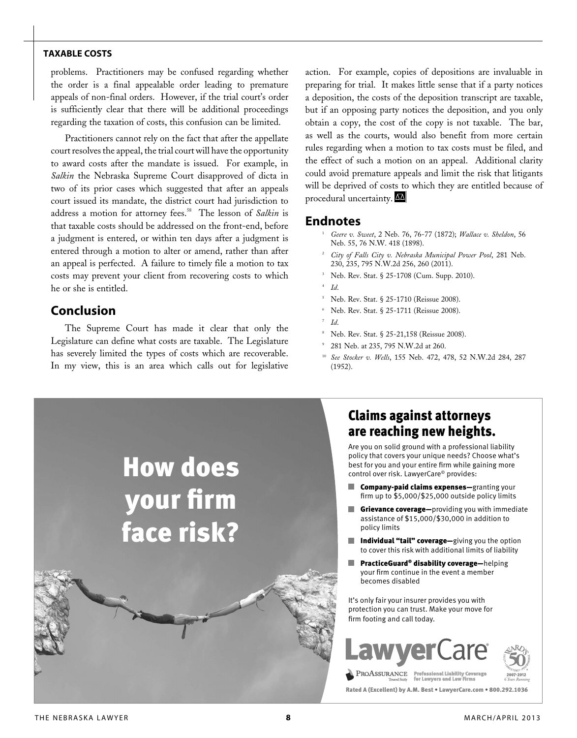problems. Practitioners may be confused regarding whether the order is a final appealable order leading to premature appeals of non-final orders. However, if the trial court's order is sufficiently clear that there will be additional proceedings regarding the taxation of costs, this confusion can be limited.

Practitioners cannot rely on the fact that after the appellate court resolves the appeal, the trial court will have the opportunity to award costs after the mandate is issued. For example, in *Salkin* the Nebraska Supreme Court disapproved of dicta in two of its prior cases which suggested that after an appeals court issued its mandate, the district court had jurisdiction to address a motion for attorney fees.<sup>58</sup> The lesson of *Salkin* is that taxable costs should be addressed on the front-end, before a judgment is entered, or within ten days after a judgment is entered through a motion to alter or amend, rather than after an appeal is perfected. A failure to timely file a motion to tax costs may prevent your client from recovering costs to which he or she is entitled.

# **Conclusion**

The Supreme Court has made it clear that only the Legislature can define what costs are taxable. The Legislature has severely limited the types of costs which are recoverable. In my view, this is an area which calls out for legislative action. For example, copies of depositions are invaluable in preparing for trial. It makes little sense that if a party notices a deposition, the costs of the deposition transcript are taxable, but if an opposing party notices the deposition, and you only obtain a copy, the cost of the copy is not taxable. The bar, as well as the courts, would also benefit from more certain rules regarding when a motion to tax costs must be filed, and the effect of such a motion on an appeal. Additional clarity could avoid premature appeals and limit the risk that litigants will be deprived of costs to which they are entitled because of procedural uncertainty.

#### **Endnotes**

- <sup>1</sup> *Geere v. Sweet*, 2 Neb. 76, 76-77 (1872); *Wallace v. Sheldon*, 56 Neb. 55, 76 N.W. 418 (1898).
- <sup>2</sup> *City of Falls City v. Nebraska Municipal Power Pool*, 281 Neb. 230, 235, 795 N.W.2d 256, 260 (2011).
- Neb. Rev. Stat. § 25-1708 (Cum. Supp. 2010).
- <sup>4</sup> *Id*.
- <sup>5</sup> Neb. Rev. Stat. § 25-1710 (Reissue 2008).
- <sup>6</sup> Neb. Rev. Stat. § 25-1711 (Reissue 2008).
- <sup>7</sup> *Id*.
- <sup>8</sup> Neb. Rev. Stat. § 25-21,158 (Reissue 2008).
- 281 Neb. at 235, 795 N.W.2d at 260.
- <sup>10</sup> *See Stocker v. Wells*, 155 Neb. 472, 478, 52 N.W.2d 284, 287 (1952).



# Claims against attorneys are reaching new heights.

Are you on solid ground with a professional liability policy that covers your unique needs? Choose what's best for you and your entire firm while gaining more control over risk. LawyerCare® provides:

- Company-paid claims expenses—granting your firm up to \$5,000/\$25,000 outside policy limits
- **Grievance coverage**-providing you with immediate assistance of \$15,000/\$30,000 in addition to
- Individual "tail" coverage-giving you the option to cover this risk with additional limits of liability
- PracticeGuard® disability coverage—helping your firm continue in the event a member becomes disabled

It's only fair your insurer provides you with protection you can trust. Make your move for firm footing and call today.





Rated A (Excellent) by A.M. Best • LawyerCare.com • 800.292.1036